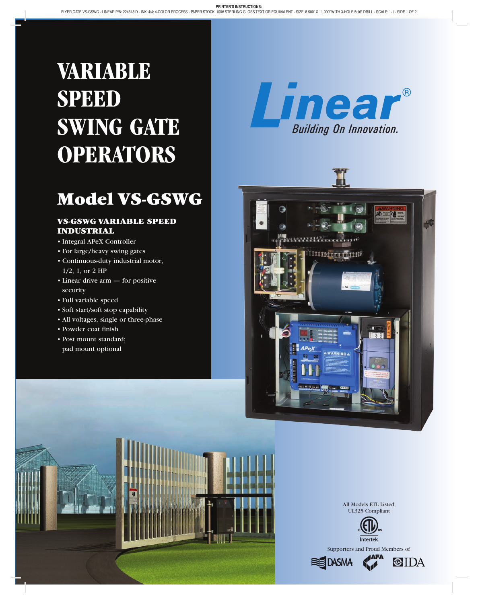# **VARIABLE SPEED SWING GATE OPERATORS**

# Model VS-GSWG

## VS-GSWG VARIABLE SPEED Industrial

• Integral APeX Controller

- • For large/heavy swing gates
- • Continuous-duty industrial motor, 1/2, 1, or 2 HP
- Linear drive arm for positive security
- • Full variable speed
- • Soft start/soft stop capability
- All voltages, single or three-phase
- • Powder coat finish
- • Post mount standard; pad mount optional







All Models ETL Listed; UL325 Compliant



Supporters and Proud Members of

**CIDA**